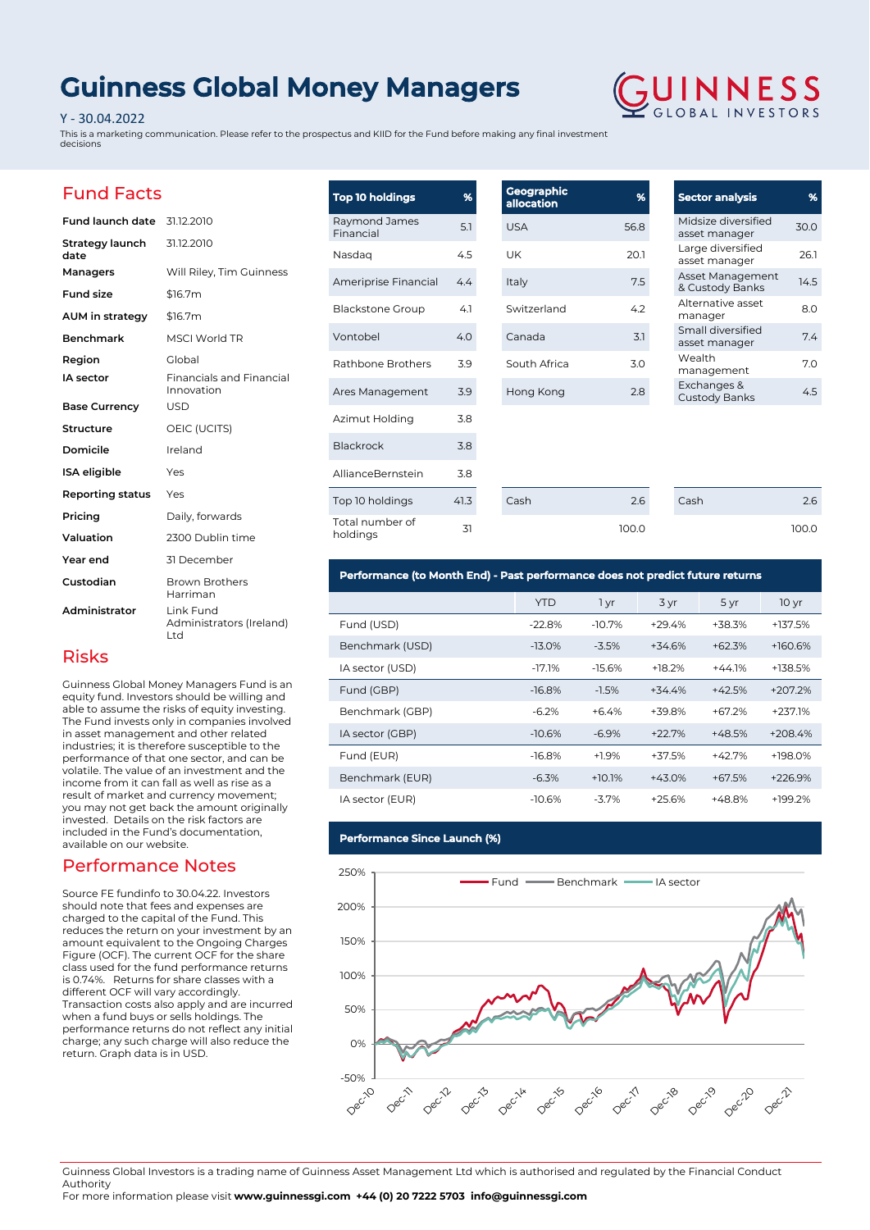# **Guinness Global Money Managers**

### Y - 30.04.2022

This is a marketing communication. Please refer to the prospectus and KIID for the Fund before making any final investment decisions



### Fund Facts

| <b>Fund launch date</b> 31.12.2010 |                                               |
|------------------------------------|-----------------------------------------------|
| Strategy launch<br>date            | 31.12.2010                                    |
| Managers                           | Will Riley, Tim Guinness                      |
| <b>Fund size</b>                   | \$16.7m                                       |
| AUM in strategy                    | \$16.7m                                       |
| <b>Benchmark</b>                   | <b>MSCI World TR</b>                          |
| Region                             | Global                                        |
| IA sector                          | <b>Financials and Financial</b><br>Innovation |
| <b>Base Currency</b>               | <b>USD</b>                                    |
| Structure                          | OEIC (UCITS)                                  |
| Domicile                           | Ireland                                       |
| <b>ISA</b> eligible                | Yes                                           |
| <b>Reporting status</b>            | Yes                                           |
| Pricing                            | Daily, forwards                               |
| Valuation                          | 2300 Dublin time                              |
| Year end                           | 31 December                                   |
| Custodian                          | <b>Brown Brothers</b><br>Harriman             |
| Administrator                      | Link Fund<br>Administrators (Ireland)<br>Ltd  |

| <b>Top 10 holdings</b>      | %    | Geographic<br>allocation | %     |
|-----------------------------|------|--------------------------|-------|
| Raymond James<br>Financial  | 5.1  | <b>USA</b>               | 56.8  |
| Nasdag                      | 4.5  | UK                       | 20.1  |
| Ameriprise Financial        | 4.4  | Italy                    | 7.5   |
| <b>Blackstone Group</b>     | 4.1  | Switzerland              | 4.2   |
| Vontobel                    | 4.0  | Canada                   | 3.1   |
| Rathbone Brothers           | 3.9  | South Africa             | 3.0   |
| Ares Management             | 3.9  | Hong Kong                | 2.8   |
| Azimut Holding              | 3.8  |                          |       |
| Blackrock                   | 3.8  |                          |       |
| AllianceBernstein           | 3.8  |                          |       |
| Top 10 holdings             | 41.3 | Cash                     | 2.6   |
| Total number of<br>holdings | 31   |                          | 100.0 |

| <b>Sector analysis</b>               | ℅    |
|--------------------------------------|------|
| Midsize diversified<br>asset manager | 30.0 |
| Large diversified<br>asset manager   | 26.1 |
| Asset Management<br>& Custody Banks  | 14.5 |
| Alternative asset<br>manager         | 8.0  |
| Small diversified<br>asset manager   | 74   |
| Wealth<br>management                 | 7.0  |
| Exchanges &<br><b>Custody Banks</b>  | 45   |

Cash 2.6

100.0

| Performance (to Month End) - Past performance does not predict future returns |  |
|-------------------------------------------------------------------------------|--|
|-------------------------------------------------------------------------------|--|

|                 | YTD      | 1 yr     | 3 yr     | 5 yr     | 10 <sub>yr</sub> |
|-----------------|----------|----------|----------|----------|------------------|
| Fund (USD)      | $-22.8%$ | $-10.7%$ | $+29.4%$ | +38.3%   | +137.5%          |
| Benchmark (USD) | $-13.0%$ | $-3.5%$  | $+34.6%$ | $+62.3%$ | $+160.6%$        |
| IA sector (USD) | $-17.1%$ | $-15.6%$ | $+18.2%$ | $+44.1%$ | +138.5%          |
| Fund (GBP)      | $-16.8%$ | $-1.5%$  | $+34.4%$ | $+42.5%$ | +207.2%          |
| Benchmark (GBP) | $-6.2%$  | $+6.4%$  | +39.8%   | $+67.2%$ | $+237.1%$        |
| IA sector (GBP) | $-10.6%$ | $-6.9%$  | $+22.7%$ | $+48.5%$ | $+208.4%$        |
| Fund (EUR)      | $-16.8%$ | $+1.9%$  | $+37.5%$ | $+42.7%$ | $+198.0%$        |
| Benchmark (EUR) | $-6.3%$  | $+10.1%$ | $+43.0%$ | $+67.5%$ | $+226.9%$        |
| IA sector (EUR) | $-10.6%$ | $-3.7\%$ | $+25.6%$ | +48.8%   | $+199.2%$        |

### **Performance Since Launch (%)**



Guinness Global Investors is a trading name of Guinness Asset Management Ltd which is authorised and regulated by the Financial Conduct Authority

For more information please visit **www.guinnessgi.com +44 (0) 20 7222 5703 info@guinnessgi.com** 

### Risks

Guinness Global Money Managers Fund is an equity fund. Investors should be willing and able to assume the risks of equity investing. The Fund invests only in companies involved in asset management and other related industries; it is therefore susceptible to the performance of that one sector, and can be volatile. The value of an investment and the income from it can fall as well as rise as a result of market and currency movement; you may not get back the amount originally invested. Details on the risk factors are included in the Fund's documentation, available on our website.

### Performance Notes

Source FE fundinfo to 30.04.22. Investors should note that fees and expenses are charged to the capital of the Fund. This reduces the return on your investment by an amount equivalent to the Ongoing Charges Figure (OCF). The current OCF for the share class used for the fund performance returns is 0.74%. Returns for share classes with a different OCF will vary accordingly. Transaction costs also apply and are incurred when a fund buys or sells holdings. The performance returns do not reflect any initial charge; any such charge will also reduce the return. Graph data is in USD.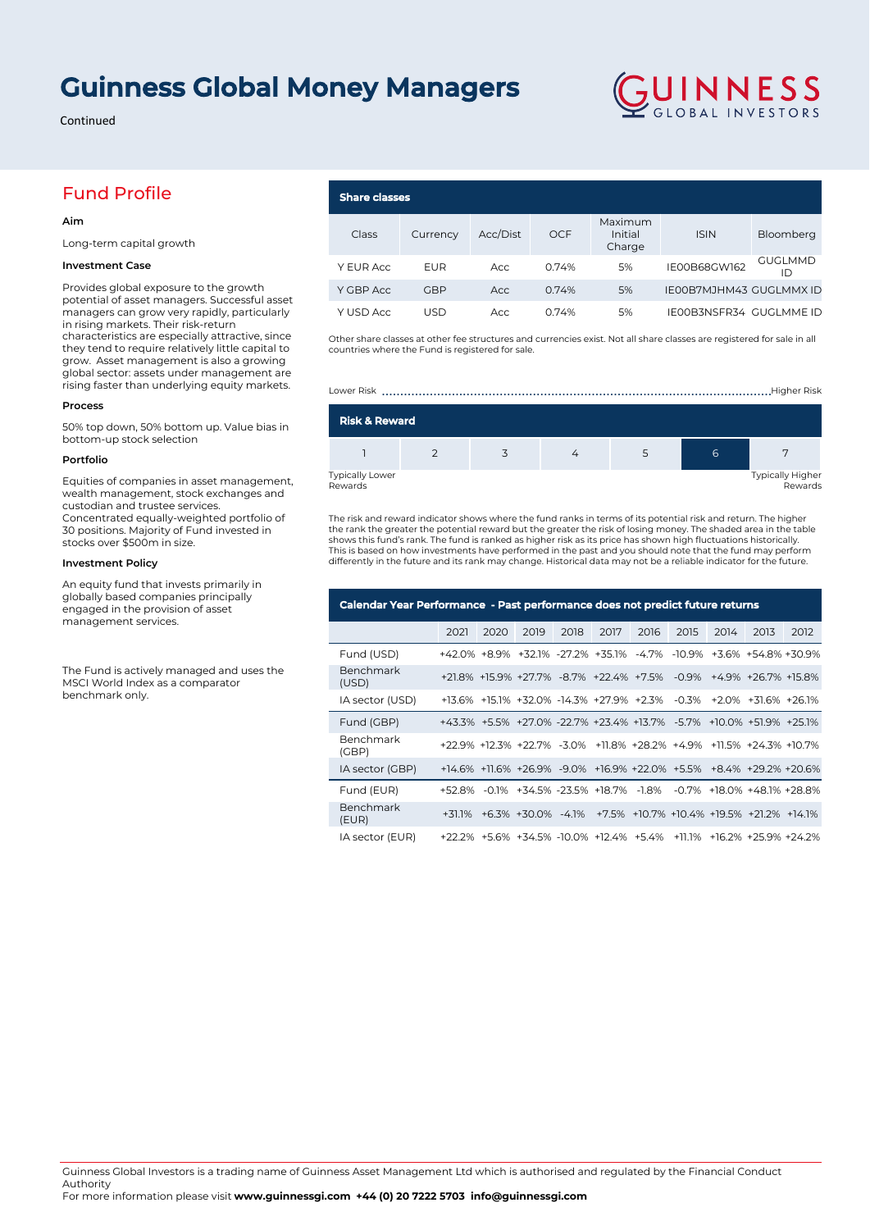## **Guinness Global Money Managers**

Continued

### Fund Profile

#### **Aim**

Long-term capital growth

### **Investment Case**

Provides global exposure to the growth potential of asset managers. Successful asset managers can grow very rapidly, particularly in rising markets. Their risk-return characteristics are especially attractive, since they tend to require relatively little capital to grow. Asset management is also a growing global sector: assets under management are rising faster than underlying equity markets.

### **Process**

50% top down, 50% bottom up. Value bias in bottom-up stock selection

#### **Portfolio**

Equities of companies in asset management, wealth management, stock exchanges and custodian and trustee services. Concentrated equally-weighted portfolio of 30 positions. Majority of Fund invested in stocks over \$500m in size.

### **Investment Policy**

An equity fund that invests primarily in globally based companies principally engaged in the provision of asset management services.

The Fund is actively managed and uses the MSCI World Index as a comparator benchmark only.

#### **Share classes** Class Currency Acc/Dist OCF Maximum Initial Charge ISIN Bloomberg Y EUR Acc EUR Acc 0.74% 5% IE00B68GW162 GUGLMMD ID Y GBP Acc GBP Acc 0.74% 5% IE00B7MJHM43 GUGLMMX ID Y USD Acc 0.74% 5% IE00B3NSFR34 GUGLMME ID

GUINNESS

Other share classes at other fee structures and currencies exist. Not all share classes are registered for sale in all countries where the Fund is registered for sale.



The risk and reward indicator shows where the fund ranks in terms of its potential risk and return. The higher the rank the greater the potential reward but the greater the risk of losing money. The shaded area in the table shows this fund's rank. The fund is ranked as higher risk as its price has shown high fluctuations historically. This is based on how investments have performed in the past and you should note that the fund may perform differently in the future and its rank may change. Historical data may not be a reliable indicator for the future.

| Calendar Year Performance - Past performance does not predict future returns |      |      |                                                                     |      |      |      |      |      |      |      |
|------------------------------------------------------------------------------|------|------|---------------------------------------------------------------------|------|------|------|------|------|------|------|
|                                                                              | 2021 | 2020 | 2019                                                                | 2018 | 2017 | 2016 | 2015 | 2014 | 2013 | 2012 |
| Fund (USD)                                                                   |      |      | +42.0% +8.9% +32.1% -27.2% +35.1% -4.7% -10.9% +3.6% +54.8% +30.9%  |      |      |      |      |      |      |      |
| Benchmark<br>(USD)                                                           |      |      | +21.8% +15.9% +27.7% -8.7% +22.4% +7.5% -0.9% +4.9% +26.7% +15.8%   |      |      |      |      |      |      |      |
| IA sector (USD)                                                              |      |      | +13.6% +15.1% +32.0% -14.3% +27.9% +2.3% -0.3% +2.0% +31.6% +26.1%  |      |      |      |      |      |      |      |
| Fund (GBP)                                                                   |      |      | +43.3% +5.5% +27.0% -22.7% +23.4% +13.7% -5.7% +10.0% +51.9% +25.1% |      |      |      |      |      |      |      |
| Benchmark<br>(GBP)                                                           |      |      | +22.9% +12.3% +22.7% -3.0% +11.8% +28.2% +4.9% +11.5% +24.3% +10.7% |      |      |      |      |      |      |      |
| IA sector (GBP)                                                              |      |      | +14.6% +11.6% +26.9% -9.0% +16.9% +22.0% +5.5% +8.4% +29.2% +20.6%  |      |      |      |      |      |      |      |
| Fund (EUR)                                                                   |      |      | +52.8% -0.1% +34.5% -23.5% +18.7% -1.8% -0.7% +18.0% +48.1% +28.8%  |      |      |      |      |      |      |      |
| Benchmark<br>(EUR)                                                           |      |      | +31.1% +6.3% +30.0% -4.1% +7.5% +10.7% +10.4% +19.5% +21.2% +14.1%  |      |      |      |      |      |      |      |
| IA sector (EUR)                                                              |      |      | +22.2% +5.6% +34.5% -10.0% +12.4% +5.4% +11.1% +16.2% +25.9% +24.2% |      |      |      |      |      |      |      |

Guinness Global Investors is a trading name of Guinness Asset Management Ltd which is authorised and regulated by the Financial Conduct Authority